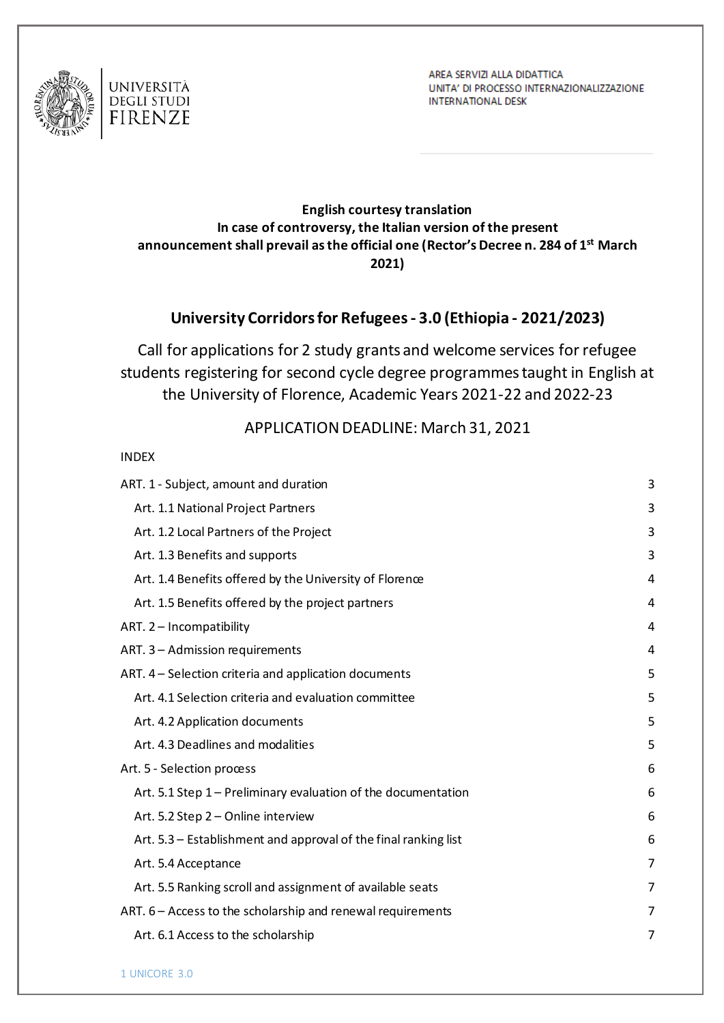

 $I = I - I$ 

AREA SERVIZI ALLA DIDATTICA UNITA' DI PROCESSO INTERNAZIONALIZZAZIONE **INTERNATIONAL DESK** 

#### **English courtesy translation In case of controversy, the Italian version of the present announcement shall prevail as the official one (Rector's Decree n. 284 of 1 st March 2021)**

## **University Corridors for Refugees - 3.0 (Ethiopia - 2021/2023)**

Call for applications for 2 study grants and welcome services for refugee students registering for second cycle degree programmes taught in English at the University of Florence, Academic Years 2021-22 and 2022-23

### APPLICATION DEADLINE: March 31, 2021

| <b>INDEX</b>                                                    |   |
|-----------------------------------------------------------------|---|
| ART. 1 - Subject, amount and duration                           | 3 |
| Art. 1.1 National Project Partners                              | 3 |
| Art. 1.2 Local Partners of the Project                          | 3 |
| Art. 1.3 Benefits and supports                                  | 3 |
| Art. 1.4 Benefits offered by the University of Florence         | 4 |
| Art. 1.5 Benefits offered by the project partners               | 4 |
| ART. 2 - Incompatibility                                        | 4 |
| ART. 3 - Admission requirements                                 | 4 |
| ART. 4 – Selection criteria and application documents           | 5 |
| Art. 4.1 Selection criteria and evaluation committee            | 5 |
| Art. 4.2 Application documents                                  | 5 |
| Art. 4.3 Deadlines and modalities                               | 5 |
| Art. 5 - Selection process                                      | 6 |
| Art. 5.1 Step 1 - Preliminary evaluation of the documentation   | 6 |
| Art. 5.2 Step 2 - Online interview                              | 6 |
| Art. 5.3 - Establishment and approval of the final ranking list | 6 |
| Art. 5.4 Acceptance                                             | 7 |
| Art. 5.5 Ranking scroll and assignment of available seats       | 7 |
| ART. 6 – Access to the scholarship and renewal requirements     | 7 |
| Art. 6.1 Access to the scholarship                              | 7 |
|                                                                 |   |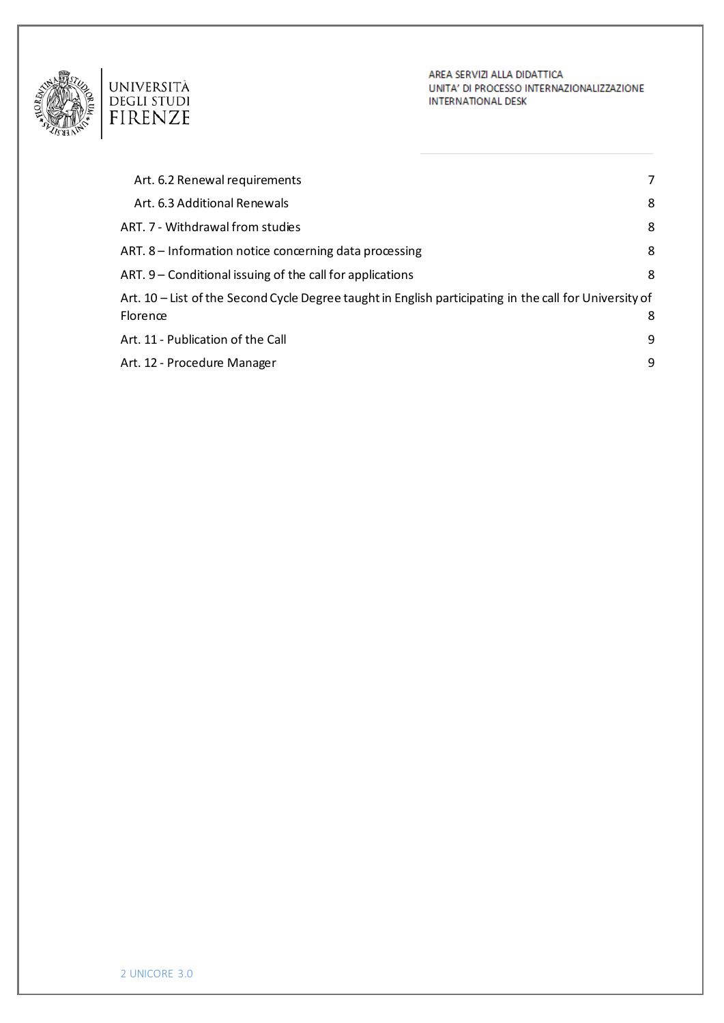

AREA SERVIZI ALLA DIDATTICA UNITA' DI PROCESSO INTERNAZIONALIZZAZIONE **INTERNATIONAL DESK** 

| Art. 6.2 Renewal requirements                                                                             | 7 |
|-----------------------------------------------------------------------------------------------------------|---|
| Art. 6.3 Additional Renewals                                                                              | 8 |
| ART. 7 - Withdrawal from studies                                                                          | 8 |
| ART. 8 - Information notice concerning data processing                                                    | 8 |
| ART. 9 – Conditional issuing of the call for applications                                                 | 8 |
| Art. $10$ – List of the Second Cycle Degree taught in English participating in the call for University of |   |
| Florence                                                                                                  | 8 |
| Art. 11 - Publication of the Call                                                                         | 9 |
| Art. 12 - Procedure Manager                                                                               | 9 |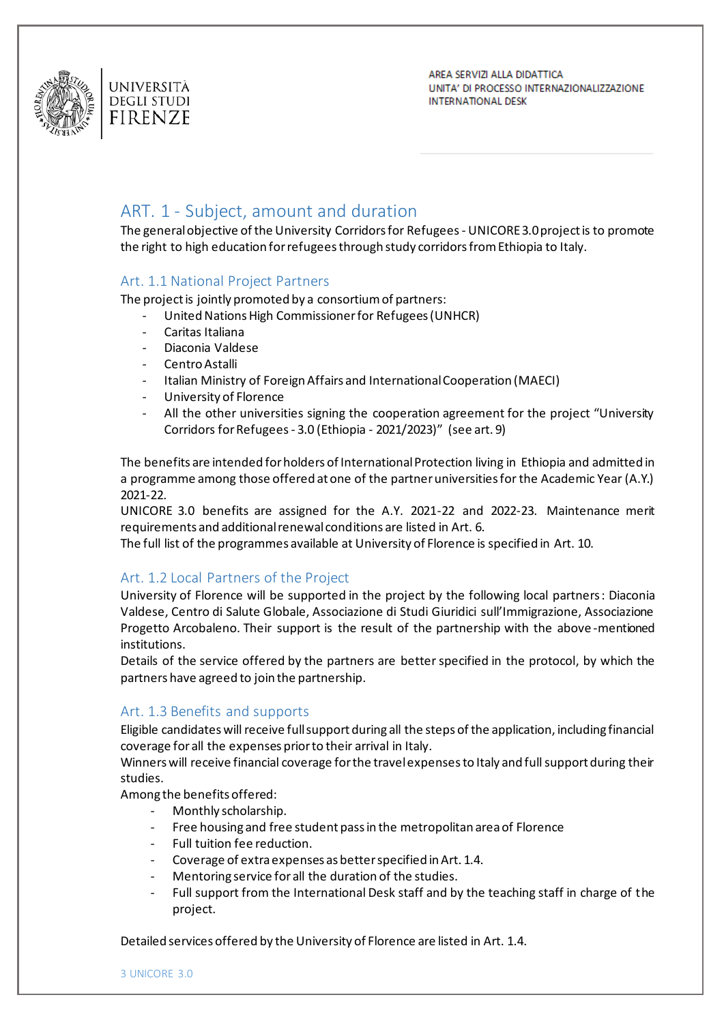



AREA SERVIZI ALLA DIDATTICA UNITA' DI PROCESSO INTERNAZIONALIZZAZIONE **INTERNATIONAL DESK** 

# <span id="page-2-0"></span>ART. 1 - Subject, amount and duration

The general objective of the University Corridors for Refugees - UNICORE 3.0 project is to promote the right to high education for refugees through study corridors from Ethiopia to Italy.

#### <span id="page-2-1"></span>Art. 1.1 National Project Partners

The project is jointly promoted by a consortium of partners:

- United Nations High Commissioner for Refugees (UNHCR)
- Caritas Italiana
- Diaconia Valdese
- Centro Astalli
- Italian Ministry of Foreign Affairs and International Cooperation (MAECI)
- University of Florence
- All the other universities signing the cooperation agreement for the project "University Corridors for Refugees - 3.0 (Ethiopia - 2021/2023)" (see art. 9)

The benefits are intended for holders of International Protection living in Ethiopia and admitted in a programme among those offered at one of the partner universities for the Academic Year (A.Y.) 2021-22.

UNICORE 3.0 benefits are assigned for the A.Y. 2021-22 and 2022-23. Maintenance merit requirements and additional renewal conditions are listed in Art. 6.

The full list of the programmes available at University of Florence is specified in Art. 10.

#### <span id="page-2-2"></span>Art. 1.2 Local Partners of the Project

University of Florence will be supported in the project by the following local partners: Diaconia Valdese, Centro di Salute Globale, Associazione di Studi Giuridici sull'Immigrazione, Associazione Progetto Arcobaleno. Their support is the result of the partnership with the above -mentioned institutions.

Details of the service offered by the partners are better specified in the protocol, by which the partners have agreed to join the partnership.

#### <span id="page-2-3"></span>Art. 1.3 Benefits and supports

Eligible candidates will receive full support during all the steps of the application, including financial coverage for all the expenses prior to their arrival in Italy.

Winners will receive financial coverage for the travel expenses to Italy and full support during their studies.

Among the benefits offered:

- Monthly scholarship.
- Free housing and free student pass in the metropolitan area of Florence
- Full tuition fee reduction.
- Coverage of extra expenses as better specified in Art. 1.4.
- Mentoring service for all the duration of the studies.
- Full support from the International Desk staff and by the teaching staff in charge of the project.

Detailed services offered by the University of Florence are listed in Art. 1.4.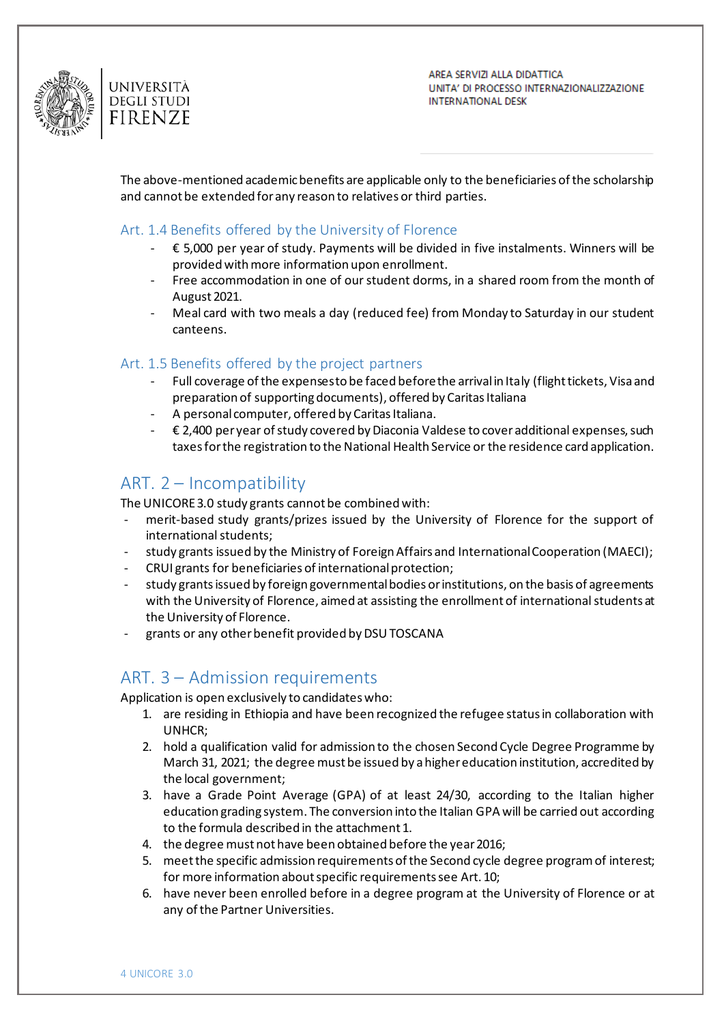

AREA SERVIZI ALLA DIDATTICA UNITA' DI PROCESSO INTERNAZIONALIZZAZIONE **INTERNATIONAL DESK** 

The above-mentioned academic benefits are applicable only to the beneficiaries of the scholarship and cannot be extended for any reason to relatives or third parties.

#### <span id="page-3-0"></span>Art. 1.4 Benefits offered by the University of Florence

- € 5,000 per year of study. Payments will be divided in five instalments. Winners will be provided with more information upon enrollment.
- Free accommodation in one of our student dorms, in a shared room from the month of August 2021.
- Meal card with two meals a day (reduced fee) from Monday to Saturday in our student canteens.

#### <span id="page-3-1"></span>Art. 1.5 Benefits offered by the project partners

- Full coverage of the expenses to be faced before the arrival in Italy (flight tickets, Visa and preparation of supporting documents), offered by Caritas Italiana
- A personal computer, offered by Caritas Italiana.
- € 2,400 per year of study covered by Diaconia Valdese to cover additional expenses, such taxes for the registration to the National Health Service or the residence card application.

## <span id="page-3-2"></span>ART. 2 – Incompatibility

The UNICORE 3.0 study grants cannot be combined with:

- merit-based study grants/prizes issued by the University of Florence for the support of international students;
- study grants issued by the Ministry of Foreign Affairs and International Cooperation (MAECI);
- CRUI grants for beneficiaries of international protection;
- study grants issued by foreign governmental bodies or institutions, on the basis of agreements with the University of Florence, aimed at assisting the enrollment of international students at the University of Florence.
- grants or any other benefit provided by DSU TOSCANA

## <span id="page-3-3"></span>ART. 3 – Admission requirements

Application is open exclusively to candidates who:

- 1. are residing in Ethiopia and have been recognized the refugee status in collaboration with UNHCR;
- 2. hold a qualification valid for admission to the chosen Second Cycle Degree Programme by March 31, 2021; the degree must be issued by a higher education institution, accredited by the local government;
- 3. have a Grade Point Average (GPA) of at least 24/30, according to the Italian higher education grading system. The conversion into the Italian GPA will be carried out according to the formula described in the attachment 1.
- 4. the degree must not have been obtained before the year 2016;
- 5. meet the specific admission requirements of the Second cycle degree program of interest; for more information about specific requirements see Art. 10;
- 6. have never been enrolled before in a degree program at the University of Florence or at any of the Partner Universities.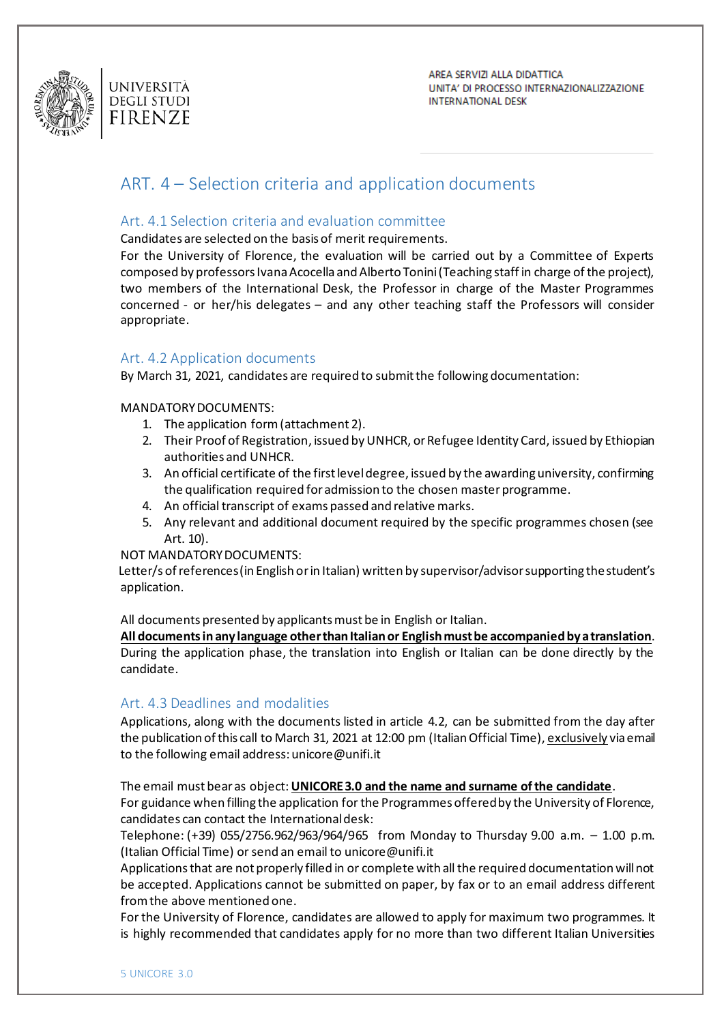

# <span id="page-4-0"></span>ART. 4 – Selection criteria and application documents

### <span id="page-4-1"></span>Art. 4.1 Selection criteria and evaluation committee

Candidates are selected on the basis of merit requirements.

For the University of Florence, the evaluation will be carried out by a Committee of Experts composed by professors Ivana Acocella and Alberto Tonini (Teaching staff in charge of the project), two members of the International Desk, the Professor in charge of the Master Programmes concerned - or her/his delegates – and any other teaching staff the Professors will consider appropriate.

#### <span id="page-4-2"></span>Art. 4.2 Application documents

By March 31, 2021, candidates are required to submit the following documentation:

#### MANDATORY DOCUMENTS:

- 1. The application form (attachment 2).
- 2. Their Proof of Registration, issued by UNHCR, or Refugee Identity Card, issued by Ethiopian authorities and UNHCR.
- 3. An official certificate of the first level degree, issued by the awarding university, confirming the qualification required for admission to the chosen master programme.
- 4. An official transcript of exams passed and relative marks.
- 5. Any relevant and additional document required by the specific programmes chosen (see Art. 10).

#### NOT MANDATORY DOCUMENTS:

 Letter/s of references (in English or in Italian) written by supervisor/advisor supporting the student's application.

All documents presented by applicants must be in English or Italian.

**All documents in any language other than Italian or English must be accompanied by a translation**. During the application phase, the translation into English or Italian can be done directly by the candidate.

#### <span id="page-4-3"></span>Art. 4.3 Deadlines and modalities

Applications, along with the documents listed in article 4.2, can be submitted from the day after the publication of this call to March 31, 2021 at 12:00 pm (Italian Official Time), exclusively via email to the following email address: unicore@unifi.it

The email must bear as object: **UNICORE 3.0 and the name and surname of the candidate**.

For guidance when filling the application for the Programmes offered by the University of Florence, candidates can contact the International desk:

Telephone: (+39) 055/2756.962/963/964/965 from Monday to Thursday 9.00 a.m. – 1.00 p.m. (Italian Official Time) or send an email to unicore@unifi.it

Applications that are not properly filled in or complete with all the required documentation will not be accepted. Applications cannot be submitted on paper, by fax or to an email address different from the above mentioned one.

For the University of Florence, candidates are allowed to apply for maximum two programmes. It is highly recommended that candidates apply for no more than two different Italian Universities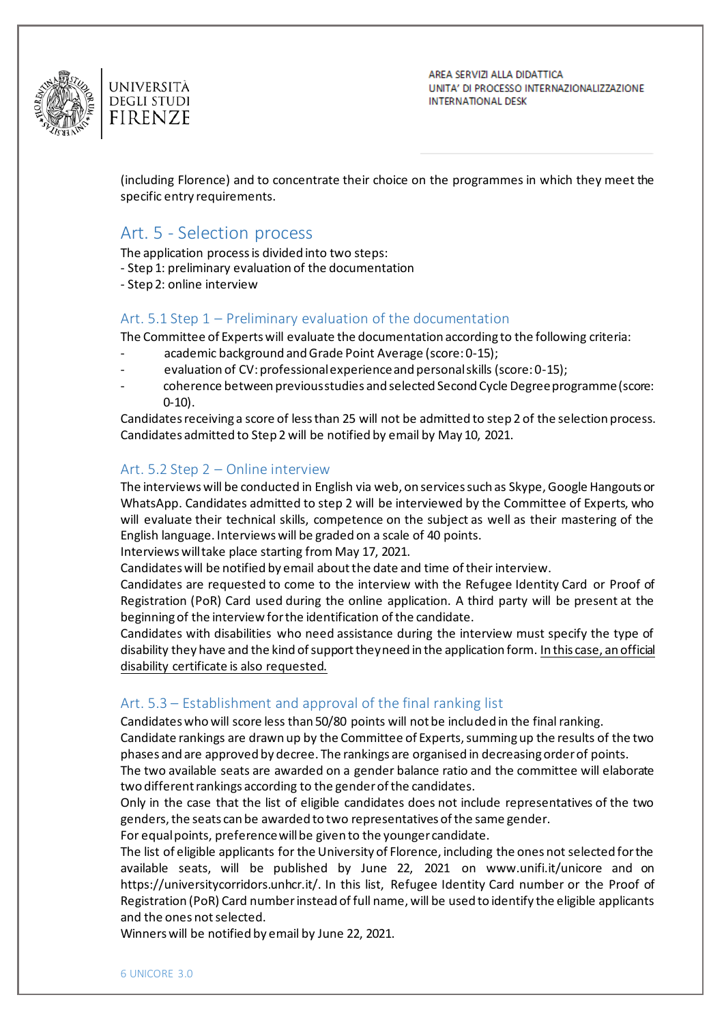

AREA SERVIZI ALLA DIDATTICA UNITA' DI PROCESSO INTERNAZIONALIZZAZIONE **INTERNATIONAL DESK** 

(including Florence) and to concentrate their choice on the programmes in which they meet the specific entry requirements.

# <span id="page-5-0"></span>Art. 5 - Selection process

The application process is divided into two steps:

- Step 1: preliminary evaluation of the documentation
- Step 2: online interview

#### <span id="page-5-1"></span>Art. 5.1 Step 1 – Preliminary evaluation of the documentation

The Committee of Experts will evaluate the documentation according to the following criteria:

- academic background and Grade Point Average (score: 0-15);
- evaluation of CV: professional experience and personal skills (score: 0-15);
- coherence between previous studies and selected Second Cycle Degree programme (score: 0-10).

Candidates receiving a score of less than 25 will not be admitted to step 2 of the selection process. Candidates admitted to Step 2 will be notified by email by May 10, 2021.

#### <span id="page-5-2"></span>Art. 5.2 Step 2 – Online interview

The interviews will be conducted in English via web, on services such as Skype, Google Hangouts or WhatsApp. Candidates admitted to step 2 will be interviewed by the Committee of Experts, who will evaluate their technical skills, competence on the subject as well as their mastering of the English language. Interviews will be graded on a scale of 40 points.

Interviews will take place starting from May 17, 2021.

Candidates will be notified by email about the date and time of their interview.

Candidates are requested to come to the interview with the Refugee Identity Card or Proof of Registration (PoR) Card used during the online application. A third party will be present at the beginning of the interview for the identification of the candidate.

Candidates with disabilities who need assistance during the interview must specify the type of disability they have and the kind of support they need in the application form. In this case, an official disability certificate is also requested.

#### <span id="page-5-3"></span>Art. 5.3 – Establishment and approval of the final ranking list

Candidates who will score less than 50/80 points will not be included in the final ranking.

Candidate rankings are drawn up by the Committee of Experts, summing up the results of the two phases and are approved by decree. The rankings are organised in decreasing order of points.

The two available seats are awarded on a gender balance ratio and the committee will elaborate two different rankings according to the gender of the candidates.

Only in the case that the list of eligible candidates does not include representatives of the two genders, the seats can be awarded to two representatives of the same gender.

For equal points, preference will be given to the younger candidate.

The list of eligible applicants for the University of Florence, including the ones not selected for the available seats, will be published by June 22, 2021 on www.unifi.it/unicore and on https://universitycorridors.unhcr.it/. In this list, Refugee Identity Card number or the Proof of Registration (PoR) Card number instead of full name, will be used to identify the eligible applicants and the ones not selected.

Winners will be notified by email by June 22, 2021.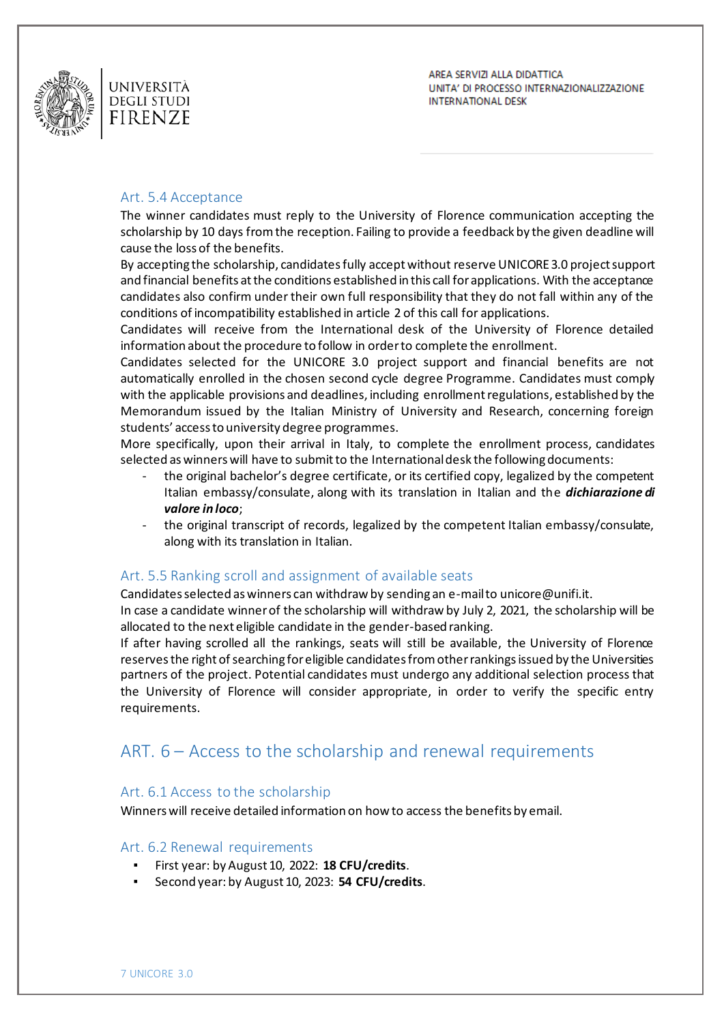

AREA SERVIZI ALLA DIDATTICA UNITA' DI PROCESSO INTERNAZIONALIZZAZIONE **INTERNATIONAL DESK** 

#### <span id="page-6-0"></span>Art. 5.4 Acceptance

The winner candidates must reply to the University of Florence communication accepting the scholarship by 10 days from the reception. Failing to provide a feedback by the given deadline will cause the loss of the benefits.

By accepting the scholarship, candidates fully accept without reserve UNICORE 3.0 project support and financial benefits at the conditions established in this call for applications. With the acceptance candidates also confirm under their own full responsibility that they do not fall within any of the conditions of incompatibility established in article 2 of this call for applications.

Candidates will receive from the International desk of the University of Florence detailed information about the procedure to follow in order to complete the enrollment.

Candidates selected for the UNICORE 3.0 project support and financial benefits are not automatically enrolled in the chosen second cycle degree Programme. Candidates must comply with the applicable provisions and deadlines, including enrollment regulations, established by the Memorandum issued by the Italian Ministry of University and Research, concerning foreign students' access to university degree programmes.

More specifically, upon their arrival in Italy, to complete the enrollment process, candidates selected as winners will have to submit to the International desk the following documents:

- the original bachelor's degree certificate, or its certified copy, legalized by the competent Italian embassy/consulate, along with its translation in Italian and the *dichiarazione di valore in loco*;
- the original transcript of records, legalized by the competent Italian embassy/consulate, along with its translation in Italian.

#### <span id="page-6-1"></span>Art. 5.5 Ranking scroll and assignment of available seats

Candidates selected as winners can withdraw by sending an e-mail t[o unicore@unifi.it.](mailto:unicore@unifi.it)

In case a candidate winner of the scholarship will withdraw by July 2, 2021, the scholarship will be allocated to the next eligible candidate in the gender-based ranking.

If after having scrolled all the rankings, seats will still be available, the University of Florence reserves the right of searching for eligible candidates from other rankings issued by the Universities partners of the project. Potential candidates must undergo any additional selection process that the University of Florence will consider appropriate, in order to verify the specific entry requirements.

# <span id="page-6-2"></span>ART. 6 – Access to the scholarship and renewal requirements

#### <span id="page-6-3"></span>Art. 6.1 Access to the scholarship

Winners will receive detailed information on how to access the benefits by email.

#### <span id="page-6-4"></span>Art. 6.2 Renewal requirements

- First year: by August 10, 2022: 18 CFU/credits.
- Second year: by August 10, 2023: 54 CFU/credits.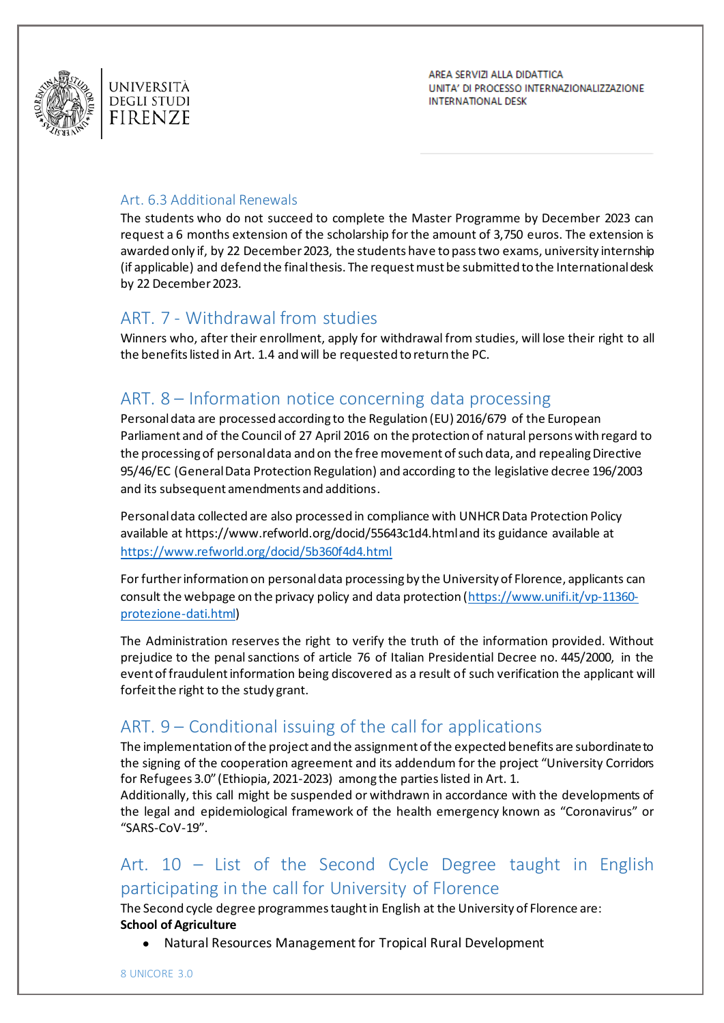

AREA SERVIZI ALLA DIDATTICA UNITA' DI PROCESSO INTERNAZIONALIZZAZIONE **INTERNATIONAL DESK** 

### <span id="page-7-0"></span>Art. 6.3 Additional Renewals

The students who do not succeed to complete the Master Programme by December 2023 can request a 6 months extension of the scholarship for the amount of 3,750 euros. The extension is awarded only if, by 22 December 2023, the students have to pass two exams, university internship (if applicable) and defend the final thesis. The request must be submitted to the International desk by 22 December 2023.

# <span id="page-7-1"></span>ART. 7 - Withdrawal from studies

Winners who, after their enrollment, apply for withdrawal from studies, will lose their right to all the benefits listed in Art. 1.4 and will be requested to return the PC.

# <span id="page-7-2"></span>ART. 8 – Information notice concerning data processing

Personal data are processed according to the Regulation (EU) 2016/679 of the European Parliament and of the Council of 27 April 2016 on the protection of natural persons with regard to the processing of personal data and on the free movement of such data, and repealing Directive 95/46/EC (General Data Protection Regulation) and according to the legislative decree 196/2003 and its subsequent amendments and additions.

Personal data collected are also processed in compliance with UNHCR Data Protection Policy available at https://www.refworld.org/docid/55643c1d4.html and its guidance available at <https://www.refworld.org/docid/5b360f4d4.html>

For further information on personal data processing by the University of Florence, applicants can consult the webpage on the privacy policy and data protection [\(https://www.unifi.it/vp-11360](https://www.unifi.it/vp-11360-protezione-dati.html) [protezione-dati.html\)](https://www.unifi.it/vp-11360-protezione-dati.html)

The Administration reserves the right to verify the truth of the information provided. Without prejudice to the penal sanctions of article 76 of Italian Presidential Decree no. 445/2000, in the event of fraudulent information being discovered as a result of such verification the applicant will forfeit the right to the study grant.

# <span id="page-7-3"></span>ART. 9 – Conditional issuing of the call for applications

The implementation of the project and the assignment of the expected benefits are subordinate to the signing of the cooperation agreement and its addendum for the project "University Corridors for Refugees 3.0" (Ethiopia, 2021-2023) among the parties listed in Art. 1.

Additionally, this call might be suspended or withdrawn in accordance with the developments of the legal and epidemiological framework of the health emergency known as "Coronavirus" or "SARS-CoV-19".

# <span id="page-7-4"></span>Art. 10 – List of the Second Cycle Degree taught in English participating in the call for University of Florence

The Second cycle degree programmes taught in English at the University of Florence are: **School of Agriculture**

● Natural Resources Management for Tropical Rural Development